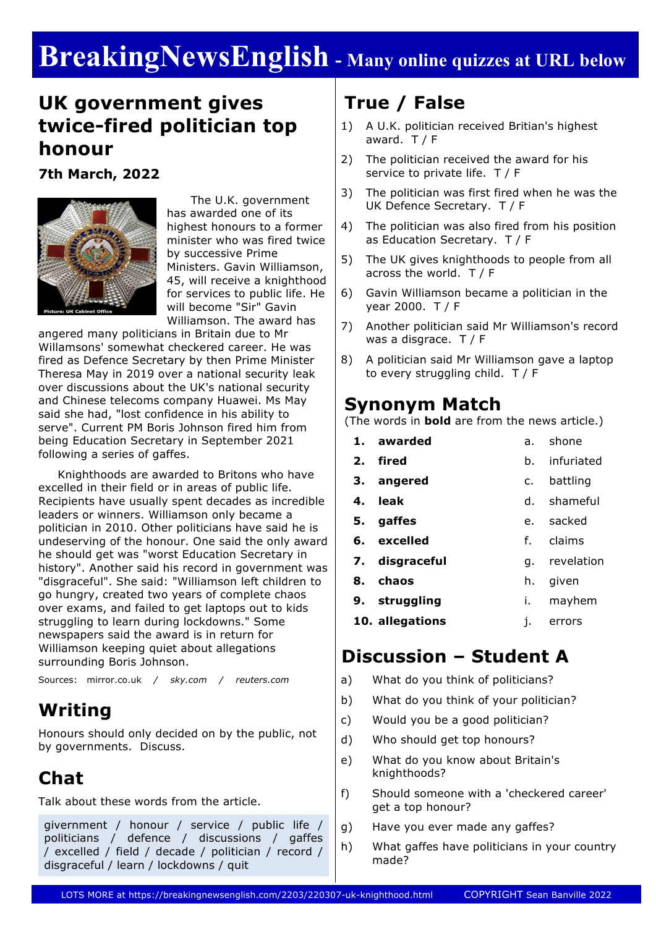# **BreakingNewsEnglish - Many online quizzes at URL below**

### **UK government gives twice-fired politician top honour**

**7th March, 2022**



 The U.K. government has awarded one of its highest honours to a former minister who was fired twice by successive Prime Ministers. Gavin Williamson, 45, will receive a knighthood for services to public life. He will become "Sir" Gavin Williamson. The award has

angered many politicians in Britain due to Mr Willamsons' somewhat checkered career. He was fired as Defence Secretary by then Prime Minister Theresa May in 2019 over a national security leak over discussions about the UK's national security and Chinese telecoms company Huawei. Ms May said she had, "lost confidence in his ability to serve". Current PM Boris Johnson fired him from being Education Secretary in September 2021 following a series of gaffes.

 Knighthoods are awarded to Britons who have excelled in their field or in areas of public life. Recipients have usually spent decades as incredible leaders or winners. Williamson only became a politician in 2010. Other politicians have said he is undeserving of the honour. One said the only award he should get was "worst Education Secretary in history". Another said his record in government was "disgraceful". She said: "Williamson left children to go hungry, created two years of complete chaos over exams, and failed to get laptops out to kids struggling to learn during lockdowns." Some newspapers said the award is in return for Williamson keeping quiet about allegations surrounding Boris Johnson.

Sources: mirror.co.uk */ sky.com / reuters.com*

## **Writing**

Honours should only decided on by the public, not by governments. Discuss.

## **Chat**

Talk about these words from the article.

givernment / honour / service / public life / politicians / defence / discussions / gaffes / excelled / field / decade / politician / record / disgraceful / learn / lockdowns / quit

## **True / False**

- 1) A U.K. politician received Britian's highest award. T / F
- 2) The politician received the award for his service to private life. T / F
- 3) The politician was first fired when he was the UK Defence Secretary. T / F
- 4) The politician was also fired from his position as Education Secretary. T / F
- 5) The UK gives knighthoods to people from all across the world. T / F
- 6) Gavin Williamson became a politician in the year 2000. T / F
- 7) Another politician said Mr Williamson's record was a disgrace. T / F
- 8) A politician said Mr Williamson gave a laptop to every struggling child. T / F

### **Synonym Match**

(The words in **bold** are from the news article.)

| 1. awarded      |      | a. shone    |  |  |
|-----------------|------|-------------|--|--|
| 2. fired        | h.   | infuriated  |  |  |
| 3. angered      | c.   | battling    |  |  |
| 4. leak         |      | d. shameful |  |  |
| 5. gaffes       |      | e. sacked   |  |  |
| 6. excelled     |      | f. claims   |  |  |
| 7. disgraceful  | q.   | revelation  |  |  |
| 8. chaos        | h.   | given       |  |  |
| 9. struggling   | i. I | mayhem      |  |  |
| 10. allegations | 1.   | errors      |  |  |

### **Discussion – Student A**

- a) What do you think of politicians?
- b) What do you think of your politician?
- c) Would you be a good politician?
- d) Who should get top honours?
- e) What do you know about Britain's knighthoods?
- f) Should someone with a 'checkered career' get a top honour?
- g) Have you ever made any gaffes?
- h) What gaffes have politicians in your country made?